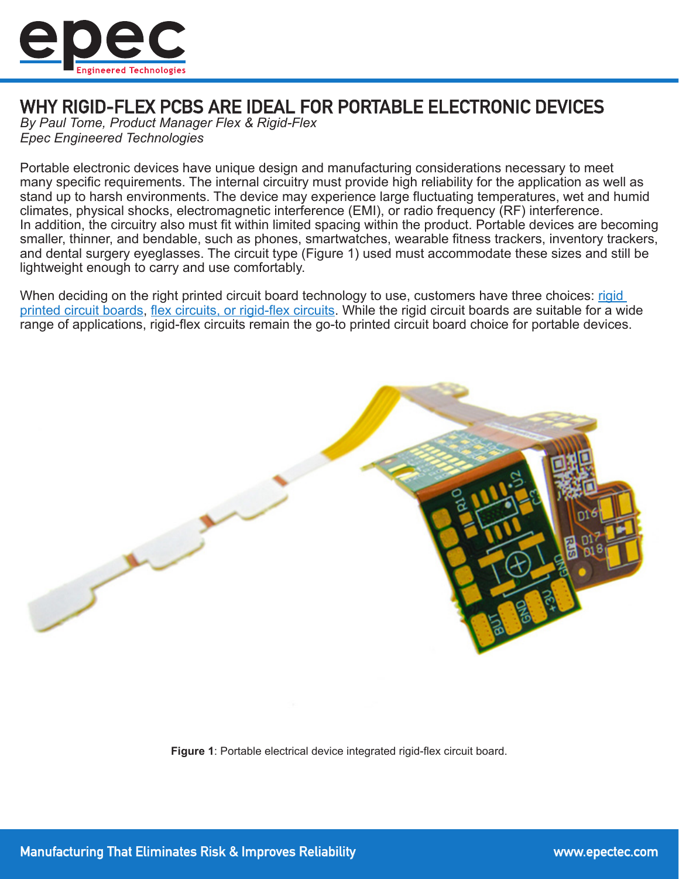

## WHY RIGID-FLEX PCBS ARE IDEAL FOR PORTABLE ELECTRONIC DEVICES

*By Paul Tome, Product Manager Flex & Rigid-Flex Epec Engineered Technologies*

Portable electronic devices have unique design and manufacturing considerations necessary to meet many specific requirements. The internal circuitry must provide high reliability for the application as well as stand up to harsh environments. The device may experience large fluctuating temperatures, wet and humid climates, physical shocks, electromagnetic interference (EMI), or radio frequency (RF) interference. In addition, the circuitry also must fit within limited spacing within the product. Portable devices are becoming smaller, thinner, and bendable, such as phones, smartwatches, wearable fitness trackers, inventory trackers, and dental surgery eyeglasses. The circuit type (Figure 1) used must accommodate these sizes and still be lightweight enough to carry and use comfortably.

When deciding on the right printed circuit board technology to use, customers have three choices: rigid [printed circuit boards](https://www.epectec.com/pcb/), [flex circuits, or rigid-flex circuits](https://www.epectec.com/flex/). While the rigid circuit boards are suitable for a wide range of applications, rigid-flex circuits remain the go-to printed circuit board choice for portable devices.



**Figure 1**: Portable electrical device integrated rigid-flex circuit board.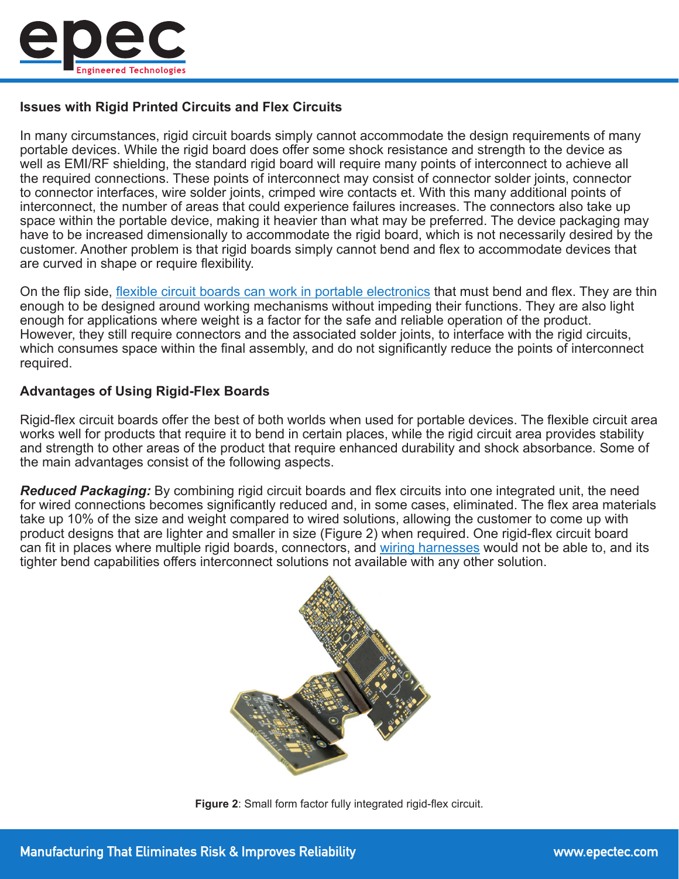

## **Issues with Rigid Printed Circuits and Flex Circuits**

In many circumstances, rigid circuit boards simply cannot accommodate the design requirements of many portable devices. While the rigid board does offer some shock resistance and strength to the device as well as EMI/RF shielding, the standard rigid board will require many points of interconnect to achieve all the required connections. These points of interconnect may consist of connector solder joints, connector to connector interfaces, wire solder joints, crimped wire contacts et. With this many additional points of interconnect, the number of areas that could experience failures increases. The connectors also take up space within the portable device, making it heavier than what may be preferred. The device packaging may have to be increased dimensionally to accommodate the rigid board, which is not necessarily desired by the customer. Another problem is that rigid boards simply cannot bend and flex to accommodate devices that are curved in shape or require flexibility.

On the flip side, [flexible circuit boards can work in portable electronics](https://www.epectec.com/flex/industries-market-focus/flex-rigid-flex-pcbs-portable-devices.html) that must bend and flex. They are thin enough to be designed around working mechanisms without impeding their functions. They are also light enough for applications where weight is a factor for the safe and reliable operation of the product. However, they still require connectors and the associated solder joints, to interface with the rigid circuits, which consumes space within the final assembly, and do not significantly reduce the points of interconnect required.

## **Advantages of Using Rigid-Flex Boards**

Rigid-flex circuit boards offer the best of both worlds when used for portable devices. The flexible circuit area works well for products that require it to bend in certain places, while the rigid circuit area provides stability and strength to other areas of the product that require enhanced durability and shock absorbance. Some of the main advantages consist of the following aspects.

*Reduced Packaging:* By combining rigid circuit boards and flex circuits into one integrated unit, the need for wired connections becomes significantly reduced and, in some cases, eliminated. The flex area materials take up 10% of the size and weight compared to wired solutions, allowing the customer to come up with product designs that are lighter and smaller in size (Figure 2) when required. One rigid-flex circuit board can fit in places where multiple rigid boards, connectors, and [wiring harnesses](https://www.epectec.com/cable-assemblies/wire-harnesses.html) would not be able to, and its tighter bend capabilities offers interconnect solutions not available with any other solution.



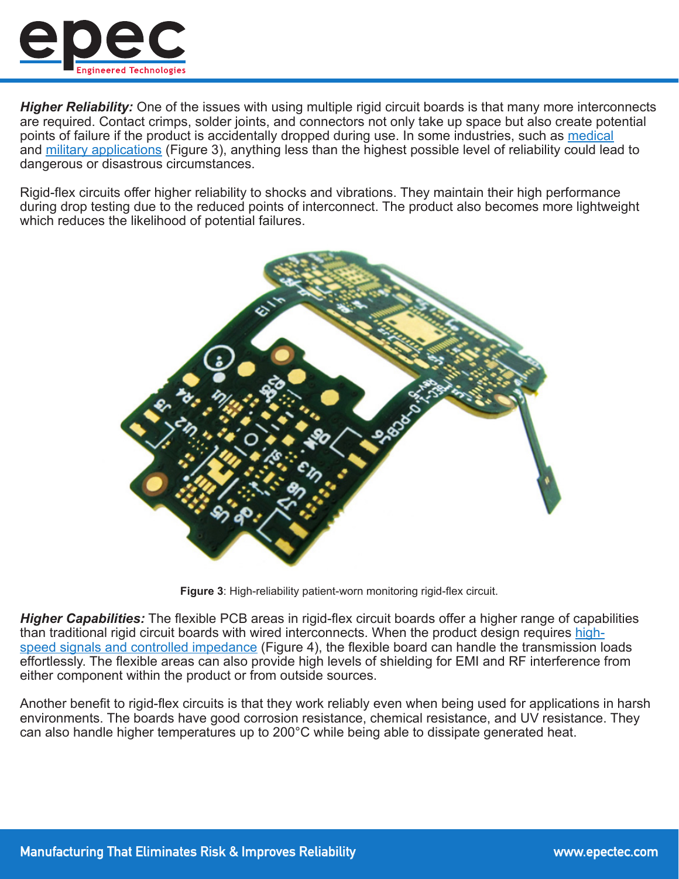

*Higher Reliability:* One of the issues with using multiple rigid circuit boards is that many more interconnects are required. Contact crimps, solder joints, and connectors not only take up space but also create potential points of failure if the product is accidentally dropped during use. In some industries, such as [medical](https://www.epectec.com/flex/industries-market-focus/flex-rigid-flex-pcbs-medical-applications.html) and [military applications](https://www.epectec.com/flex/industries-market-focus/flex-and-rigid-flex-pcbs-for-itar-applications.html) (Figure 3), anything less than the highest possible level of reliability could lead to dangerous or disastrous circumstances.

Rigid-flex circuits offer higher reliability to shocks and vibrations. They maintain their high performance during drop testing due to the reduced points of interconnect. The product also becomes more lightweight which reduces the likelihood of potential failures.



**Figure 3**: High-reliability patient-worn monitoring rigid-flex circuit.

*Higher Capabilities:* The flexible PCB areas in rigid-flex circuit boards offer a higher range of capabilities than traditional rigid circuit boards with wired interconnects. When the product design requires [high](https://blog.epectec.com/differences-in-controlled-impedance-between-a-rigid-pcb-and-flexible-pcb)[speed signals and controlled impedance](https://blog.epectec.com/differences-in-controlled-impedance-between-a-rigid-pcb-and-flexible-pcb) (Figure 4), the flexible board can handle the transmission loads effortlessly. The flexible areas can also provide high levels of shielding for EMI and RF interference from either component within the product or from outside sources.

Another benefit to rigid-flex circuits is that they work reliably even when being used for applications in harsh environments. The boards have good corrosion resistance, chemical resistance, and UV resistance. They can also handle higher temperatures up to 200°C while being able to dissipate generated heat.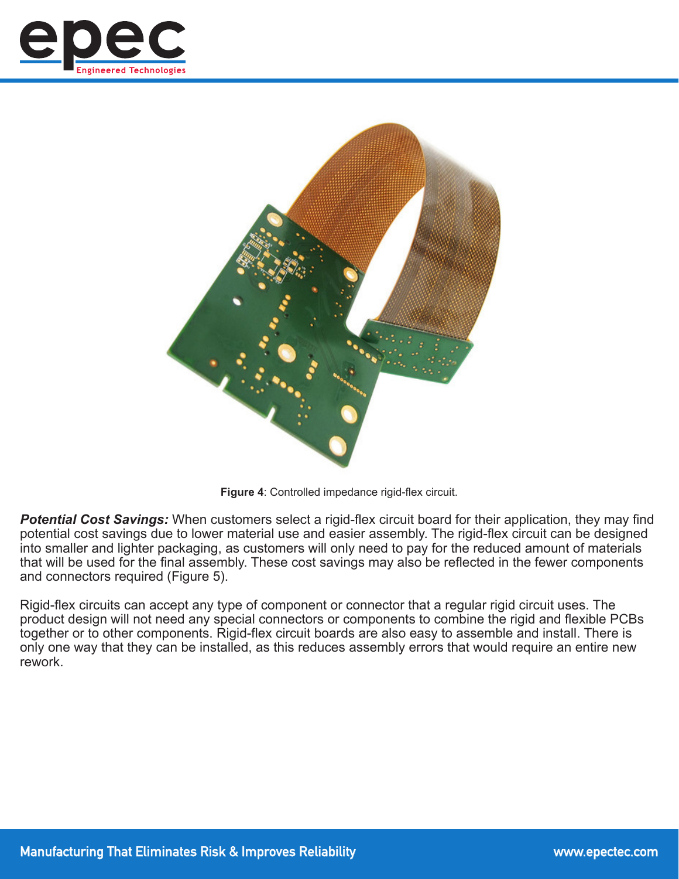



**Figure 4**: Controlled impedance rigid-flex circuit.

*Potential Cost Savings:* When customers select a rigid-flex circuit board for their application, they may find potential cost savings due to lower material use and easier assembly. The rigid-flex circuit can be designed into smaller and lighter packaging, as customers will only need to pay for the reduced amount of materials that will be used for the final assembly. These cost savings may also be reflected in the fewer components and connectors required (Figure 5).

Rigid-flex circuits can accept any type of component or connector that a regular rigid circuit uses. The product design will not need any special connectors or components to combine the rigid and flexible PCBs together or to other components. Rigid-flex circuit boards are also easy to assemble and install. There is only one way that they can be installed, as this reduces assembly errors that would require an entire new rework.